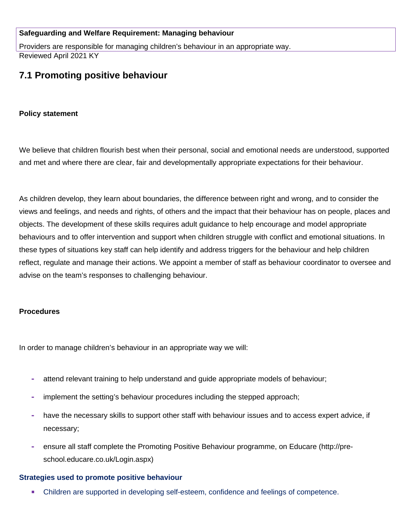#### **Safeguarding and Welfare Requirement: Managing behaviour**

Providers are responsible for managing children's behaviour in an appropriate way. Reviewed April 2021 KY

# **7.1 Promoting positive behaviour**

#### **Policy statement**

We believe that children flourish best when their personal, social and emotional needs are understood, supported and met and where there are clear, fair and developmentally appropriate expectations for their behaviour.

As children develop, they learn about boundaries, the difference between right and wrong, and to consider the views and feelings, and needs and rights, of others and the impact that their behaviour has on people, places and objects. The development of these skills requires adult guidance to help encourage and model appropriate behaviours and to offer intervention and support when children struggle with conflict and emotional situations. In these types of situations key staff can help identify and address triggers for the behaviour and help children reflect, regulate and manage their actions. We appoint a member of staff as behaviour coordinator to oversee and advise on the team's responses to challenging behaviour.

#### **Procedures**

In order to manage children's behaviour in an appropriate way we will:

- **-** attend relevant training to help understand and guide appropriate models of behaviour;
- **-** implement the setting's behaviour procedures including the stepped approach;
- **-** have the necessary skills to support other staff with behaviour issues and to access expert advice, if necessary;
- **-** ensure all staff complete the Promoting Positive Behaviour programme, on Educare (http://preschool.educare.co.uk/Login.aspx)

#### **Strategies used to promote positive behaviour**

Children are supported in developing self-esteem, confidence and feelings of competence.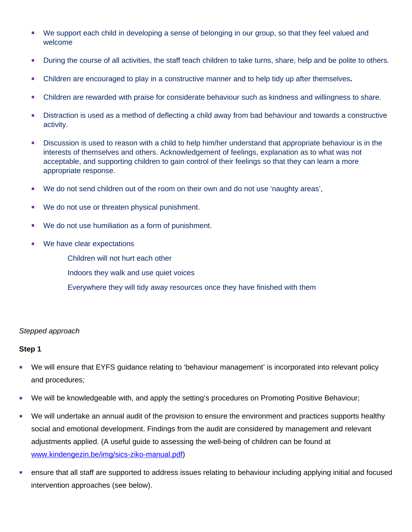- We support each child in developing a sense of belonging in our group, so that they feel valued and welcome
- **During the course of all activities, the staff teach children to take turns, share, help and be polite to others.**
- Children are encouraged to play in a constructive manner and to help tidy up after themselves**.**
- Children are rewarded with praise for considerate behaviour such as kindness and willingness to share.
- Distraction is used as a method of deflecting a child away from bad behaviour and towards a constructive activity.
- Discussion is used to reason with a child to help him/her understand that appropriate behaviour is in the interests of themselves and others. Acknowledgement of feelings, explanation as to what was not acceptable, and supporting children to gain control of their feelings so that they can learn a more appropriate response.
- We do not send children out of the room on their own and do not use 'naughty areas',
- We do not use or threaten physical punishment.
- We do not use humiliation as a form of punishment.
- **We have clear expectations** 
	- Children will not hurt each other
	- Indoors they walk and use quiet voices
	- Everywhere they will tidy away resources once they have finished with them

#### *Stepped approach*

#### **Step 1**

- We will ensure that EYFS guidance relating to 'behaviour management' is incorporated into relevant policy and procedures;
- We will be knowledgeable with, and apply the setting's procedures on Promoting Positive Behaviour;
- We will undertake an annual audit of the provision to ensure the environment and practices supports healthy social and emotional development. Findings from the audit are considered by management and relevant adjustments applied. (A useful guide to assessing the well-being of children can be found at [www.kindengezin.be/img/sics-ziko-manual.pdf\)](http://www.kindengezin.be/img/sics-ziko-manual.pdf)
- ensure that all staff are supported to address issues relating to behaviour including applying initial and focused intervention approaches (see below).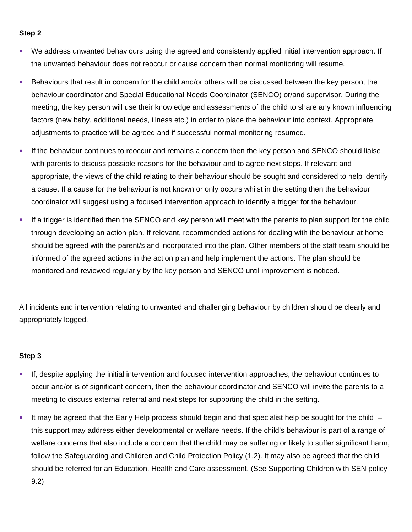#### **Step 2**

- We address unwanted behaviours using the agreed and consistently applied initial intervention approach. If the unwanted behaviour does not reoccur or cause concern then normal monitoring will resume.
- Behaviours that result in concern for the child and/or others will be discussed between the key person, the behaviour coordinator and Special Educational Needs Coordinator (SENCO) or/and supervisor. During the meeting, the key person will use their knowledge and assessments of the child to share any known influencing factors (new baby, additional needs, illness etc.) in order to place the behaviour into context. Appropriate adjustments to practice will be agreed and if successful normal monitoring resumed.
- If the behaviour continues to reoccur and remains a concern then the key person and SENCO should liaise with parents to discuss possible reasons for the behaviour and to agree next steps. If relevant and appropriate, the views of the child relating to their behaviour should be sought and considered to help identify a cause. If a cause for the behaviour is not known or only occurs whilst in the setting then the behaviour coordinator will suggest using a focused intervention approach to identify a trigger for the behaviour.
- If a trigger is identified then the SENCO and key person will meet with the parents to plan support for the child through developing an action plan. If relevant, recommended actions for dealing with the behaviour at home should be agreed with the parent/s and incorporated into the plan. Other members of the staff team should be informed of the agreed actions in the action plan and help implement the actions. The plan should be monitored and reviewed regularly by the key person and SENCO until improvement is noticed.

All incidents and intervention relating to unwanted and challenging behaviour by children should be clearly and appropriately logged.

#### **Step 3**

- If, despite applying the initial intervention and focused intervention approaches, the behaviour continues to occur and/or is of significant concern, then the behaviour coordinator and SENCO will invite the parents to a meeting to discuss external referral and next steps for supporting the child in the setting.
- It may be agreed that the Early Help process should begin and that specialist help be sought for the child  $$ this support may address either developmental or welfare needs. If the child's behaviour is part of a range of welfare concerns that also include a concern that the child may be suffering or likely to suffer significant harm, follow the Safeguarding and Children and Child Protection Policy (1.2). It may also be agreed that the child should be referred for an Education, Health and Care assessment. (See Supporting Children with SEN policy 9.2)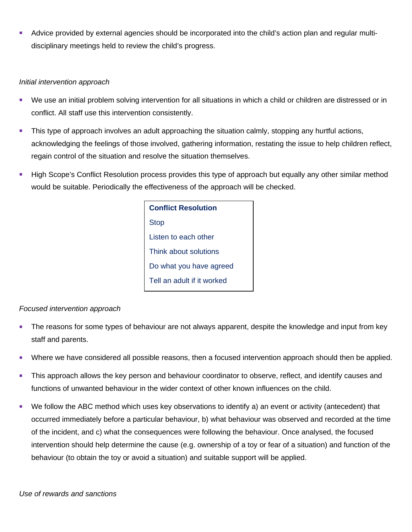Advice provided by external agencies should be incorporated into the child's action plan and regular multidisciplinary meetings held to review the child's progress.

## *Initial intervention approach*

- We use an initial problem solving intervention for all situations in which a child or children are distressed or in conflict. All staff use this intervention consistently.
- **This type of approach involves an adult approaching the situation calmly, stopping any hurtful actions,** acknowledging the feelings of those involved, gathering information, restating the issue to help children reflect, regain control of the situation and resolve the situation themselves.
- **High Scope's Conflict Resolution process provides this type of approach but equally any other similar method** would be suitable. Periodically the effectiveness of the approach will be checked.

**Conflict Resolution** Stop Listen to each other Think about solutions Do what you have agreed Tell an adult if it worked

## *Focused intervention approach*

- The reasons for some types of behaviour are not always apparent, despite the knowledge and input from key staff and parents.
- **Where we have considered all possible reasons, then a focused intervention approach should then be applied.**
- **This approach allows the key person and behaviour coordinator to observe, reflect, and identify causes and ignosity** functions of unwanted behaviour in the wider context of other known influences on the child.
- We follow the ABC method which uses key observations to identify a) an event or activity (antecedent) that occurred immediately before a particular behaviour, b) what behaviour was observed and recorded at the time of the incident, and c) what the consequences were following the behaviour. Once analysed, the focused intervention should help determine the cause (e.g. ownership of a toy or fear of a situation) and function of the behaviour (to obtain the toy or avoid a situation) and suitable support will be applied.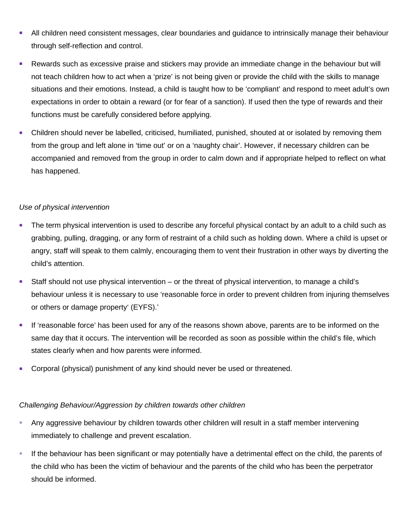- All children need consistent messages, clear boundaries and guidance to intrinsically manage their behaviour through self-reflection and control.
- Rewards such as excessive praise and stickers may provide an immediate change in the behaviour but will not teach children how to act when a 'prize' is not being given or provide the child with the skills to manage situations and their emotions. Instead, a child is taught how to be 'compliant' and respond to meet adult's own expectations in order to obtain a reward (or for fear of a sanction). If used then the type of rewards and their functions must be carefully considered before applying.
- Children should never be labelled, criticised, humiliated, punished, shouted at or isolated by removing them from the group and left alone in 'time out' or on a 'naughty chair'. However, if necessary children can be accompanied and removed from the group in order to calm down and if appropriate helped to reflect on what has happened.

## *Use of physical intervention*

- The term physical intervention is used to describe any forceful physical contact by an adult to a child such as grabbing, pulling, dragging, or any form of restraint of a child such as holding down. Where a child is upset or angry, staff will speak to them calmly, encouraging them to vent their frustration in other ways by diverting the child's attention.
- Staff should not use physical intervention or the threat of physical intervention, to manage a child's behaviour unless it is necessary to use 'reasonable force in order to prevent children from injuring themselves or others or damage property' (EYFS).'
- If 'reasonable force' has been used for any of the reasons shown above, parents are to be informed on the same day that it occurs. The intervention will be recorded as soon as possible within the child's file, which states clearly when and how parents were informed.
- Corporal (physical) punishment of any kind should never be used or threatened.

## *Challenging Behaviour/Aggression by children towards other children*

- Any aggressive behaviour by children towards other children will result in a staff member intervening immediately to challenge and prevent escalation.
- If the behaviour has been significant or may potentially have a detrimental effect on the child, the parents of the child who has been the victim of behaviour and the parents of the child who has been the perpetrator should be informed.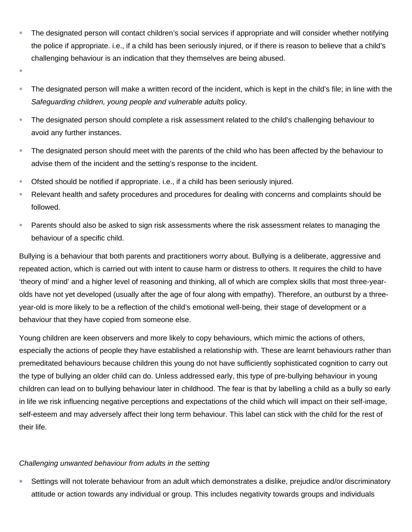- The designated person will contact children's social services if appropriate and will consider whether notifying the police if appropriate. i.e., if a child has been seriously injured, or if there is reason to believe that a child's challenging behaviour is an indication that they themselves are being abused.
- F
- The designated person will make a written record of the incident, which is kept in the child's file; in line with the *Safeguarding children, young people and vulnerable adults* policy.
- **The designated person should complete a risk assessment related to the child's challenging behaviour to** avoid any further instances.
- The designated person should meet with the parents of the child who has been affected by the behaviour to advise them of the incident and the setting's response to the incident.
- Ofsted should be notified if appropriate. i.e., if a child has been seriously injured.
- Relevant health and safety procedures and procedures for dealing with concerns and complaints should be followed.
- **Parents should also be asked to sign risk assessments where the risk assessment relates to managing the** behaviour of a specific child.

Bullying is a behaviour that both parents and practitioners worry about. Bullying is a deliberate, aggressive and repeated action, which is carried out with intent to cause harm or distress to others. It requires the child to have 'theory of mind' and a higher level of reasoning and thinking, all of which are complex skills that most three-yearolds have not yet developed (usually after the age of four along with empathy). Therefore, an outburst by a threeyear-old is more likely to be a reflection of the child's emotional well-being, their stage of development or a behaviour that they have copied from someone else.

Young children are keen observers and more likely to copy behaviours, which mimic the actions of others, especially the actions of people they have established a relationship with. These are learnt behaviours rather than premeditated behaviours because children this young do not have sufficiently sophisticated cognition to carry out the type of bullying an older child can do. Unless addressed early, this type of pre-bullying behaviour in young children can lead on to bullying behaviour later in childhood. The fear is that by labelling a child as a bully so early in life we risk influencing negative perceptions and expectations of the child which will impact on their self-image, self-esteem and may adversely affect their long term behaviour. This label can stick with the child for the rest of their life.

# *Challenging unwanted behaviour from adults in the setting*

 Settings will not tolerate behaviour from an adult which demonstrates a dislike, prejudice and/or discriminatory attitude or action towards any individual or group. This includes negativity towards groups and individuals